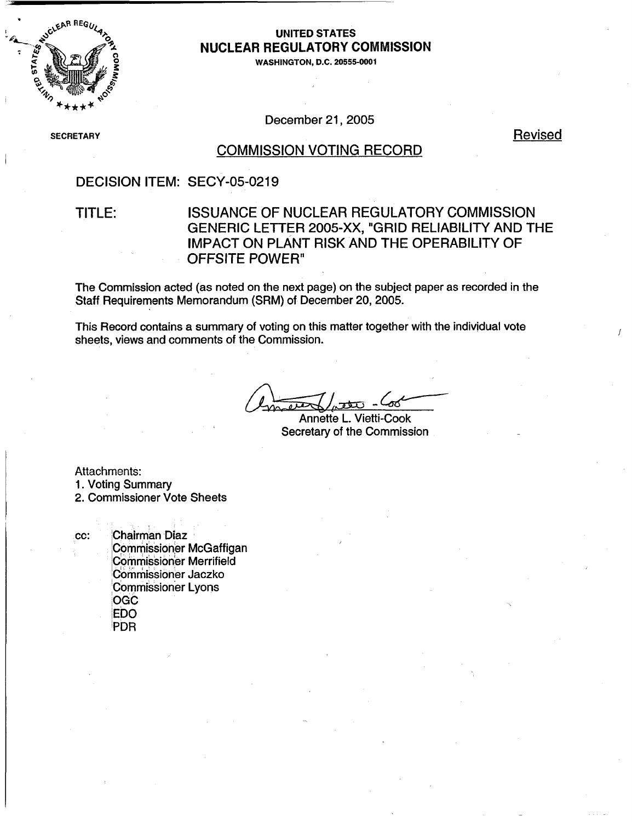

# **NUCLEAR REGULATORY COMMISSION**

WASHINGTON, D.C. 20555-0001

December 21, 2005

SECRETARY REVISED AND REVISED AND REVISED AND REVISED AND REVISED AND REVISED AND REVISED AND REVISED AND REVISED

#### COMMISSION VOTING RECORD

### DECISION ITEM: SECY-05-0219

### TITLE: ISSUANCE OF NUCLEAR REGULATORY COMMISSION GENERIC LETTER 2005-XX, "GRID RELIABILITY AND THE IMPACT ON PLANT RISK AND THE OPERABILITY OF OFFSITE POWER"

The Commission acted (as noted on the next page) on the subject paper as recorded in the Staff Requirements Memorandum (SRM) of December 20, 2005.

This Record contains a summary of voting on this matter together with the individual vote sheets, views and comments of the Commission.

Annette L. Vietti-Cook Secretary of the Commission

Attachments:

1. Voting Summary

2. Commissioner Vote Sheets

cc: Chairman Diaz Commissioner McGaffigan Commissioner Merrifield Commissioner Jaczko Commissioner Lyons OGC EDO PDR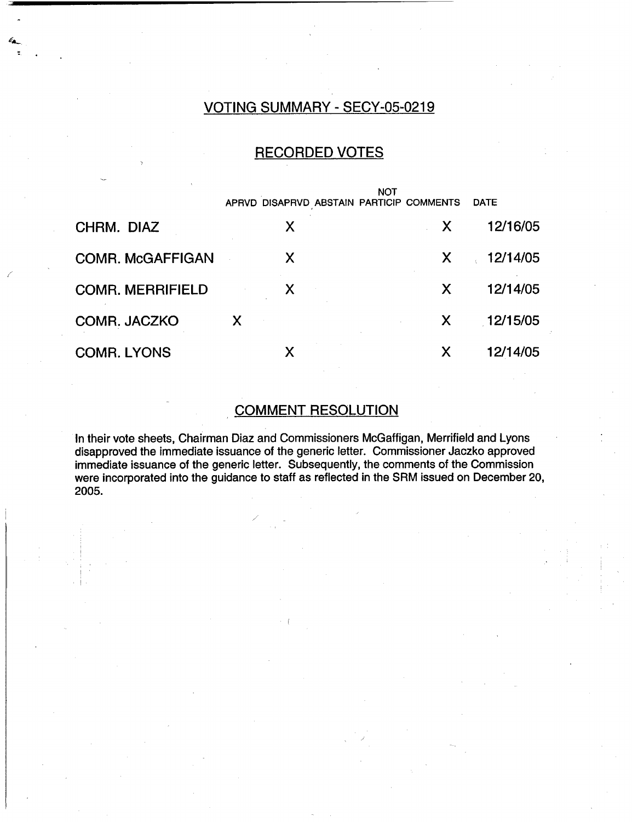## VOTING SUMMARY - SECY-05-0219

### RECORDED VOTES

|                         |   | <b>NOT</b><br>APRVD DISAPRVD ABSTAIN PARTICIP COMMENTS | <b>DATE</b> |
|-------------------------|---|--------------------------------------------------------|-------------|
| CHRM. DIAZ              | X | X                                                      | 12/16/05    |
| <b>COMR. McGAFFIGAN</b> | X | X.                                                     | 12/14/05    |
| <b>COMR. MERRIFIELD</b> | X | X                                                      | 12/14/05    |
| <b>COMR. JACZKO</b>     | X | X                                                      | 12/15/05    |
| <b>COMR. LYONS</b>      | X | Χ                                                      | 12/14/05    |

# COMMENT RESOLUTION

In their vote sheets, Chairman Diaz and Commissioners McGaffigan, Merrifield and Lyons disapproved the immediate issuance of the generic letter. Commissioner Jaczko approved immediate issuance of the generic letter. Subsequently, the comments of the Commission were incorporated into the guidance to staff as reflected in the SRM issued on December 20, 2005.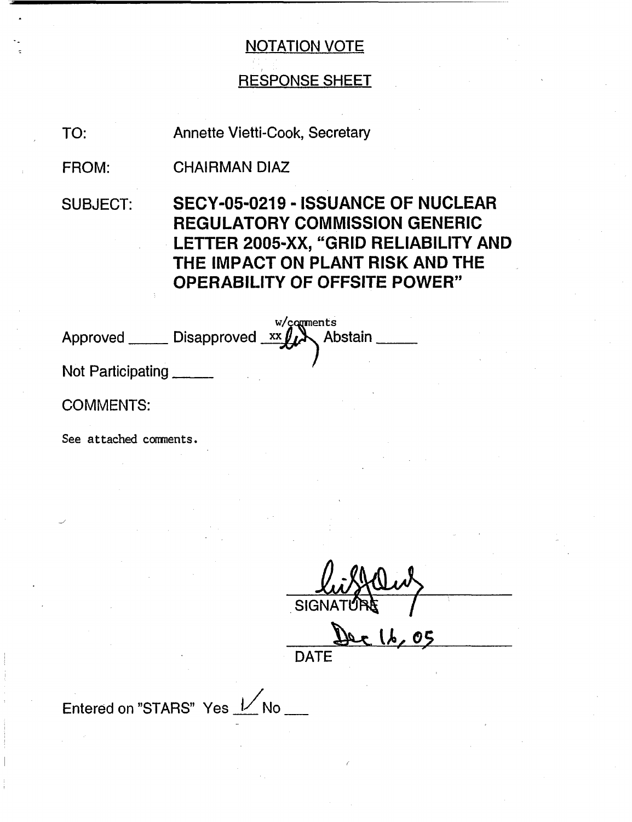# RESPONSE SHEET

TO: Annette Vietti-Cook, Secretary

FROM: CHAIRMAN DIAZ

SUBJECT: SECY-05-0219 - ISSUANCE OF NUCLEAR REGULATORY COMMISSION GENERIC LETTER 2005-XX, "GRID RELIABILITY AND THE IMPACT ON PLANT RISK AND THE OPERABILITY OF OFFSITE POWER"

| Approved                | Disapproved xx Abstain |  |
|-------------------------|------------------------|--|
| <b>Blat Daulainninn</b> |                        |  |

Not Participating

COMMENTS:

See attached coments.

**SIGI** 

 $16.05$ DATE

Entered on "STARS" Yes  $1/N$  No \_\_\_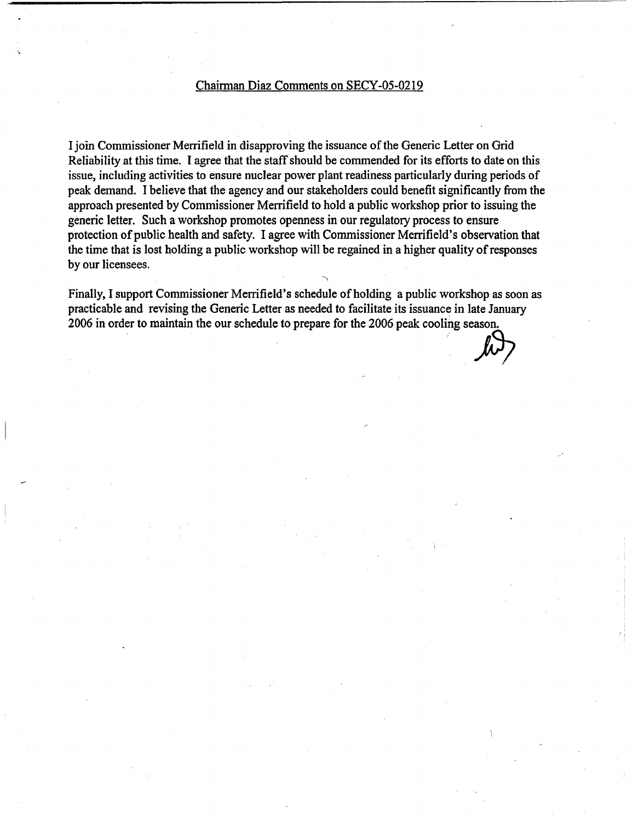#### Chairman Diaz Comments on SECY-05-0219

I join Commissioner Merrifield in disapproving the issuance of the Generic Letter on Grid Reliability at this time. I agree that the staff should be commended for its efforts to date on this issue, including activities to ensure nuclear power plant readiness particularly during periods of peak demand. I believe that the agency and our stakeholders could benefit significantly from the approach presented by Commissioner Merrifield to hold a public workshop prior to issuing the generic letter. Such a workshop promotes openness in our regulatory process to ensure protection of public health and safety. I agree with Commissioner Merrifield's observation that the time that is lost holding a public workshop will be regained in a higher quality of responses by our licensees.

Finally, I support Commissioner Merrifield's schedule of holding a public workshop as soon as practicable and revising the Generic Letter as needed to facilitate its issuance in late January 2006 in order to maintain the our schedule to prepare for the 2006 peak cooling season.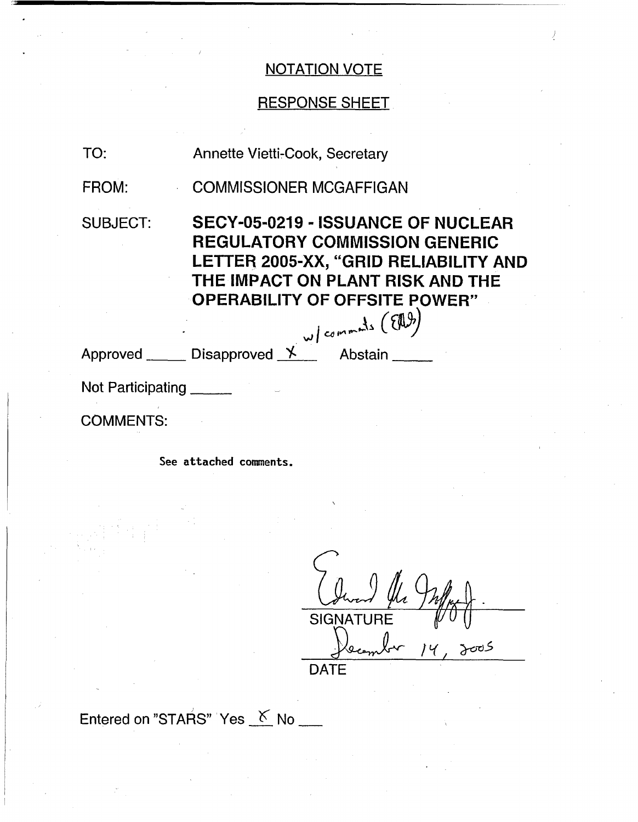# RESPONSE SHEET

| TO:               | Annette Vietti-Cook, Secretary                                                                                                                                                                                                                      |  |  |  |
|-------------------|-----------------------------------------------------------------------------------------------------------------------------------------------------------------------------------------------------------------------------------------------------|--|--|--|
| FROM:             | <b>COMMISSIONER MCGAFFIGAN</b>                                                                                                                                                                                                                      |  |  |  |
| <b>SUBJECT:</b>   | <b>SECY-05-0219 - ISSUANCE OF NUCLEAR</b><br><b>REGULATORY COMMISSION GENERIC</b><br>LETTER 2005-XX, "GRID RELIABILITY AND<br>THE IMPACT ON PLANT RISK AND THE<br><b>OPERABILITY OF OFFSITE POWER"</b><br>Disapproved $X$ <sup>w/commats (EA)</sup> |  |  |  |
| Approved ______   |                                                                                                                                                                                                                                                     |  |  |  |
| Not Participating |                                                                                                                                                                                                                                                     |  |  |  |
| <b>COMMENTS:</b>  |                                                                                                                                                                                                                                                     |  |  |  |
|                   | See attached comments.                                                                                                                                                                                                                              |  |  |  |

 $\psi$  Infinity. SIGNATURE  $14, 3005$ ecom **DATE** 

Entered on "STARS" Yes  $K$  No  $\equiv$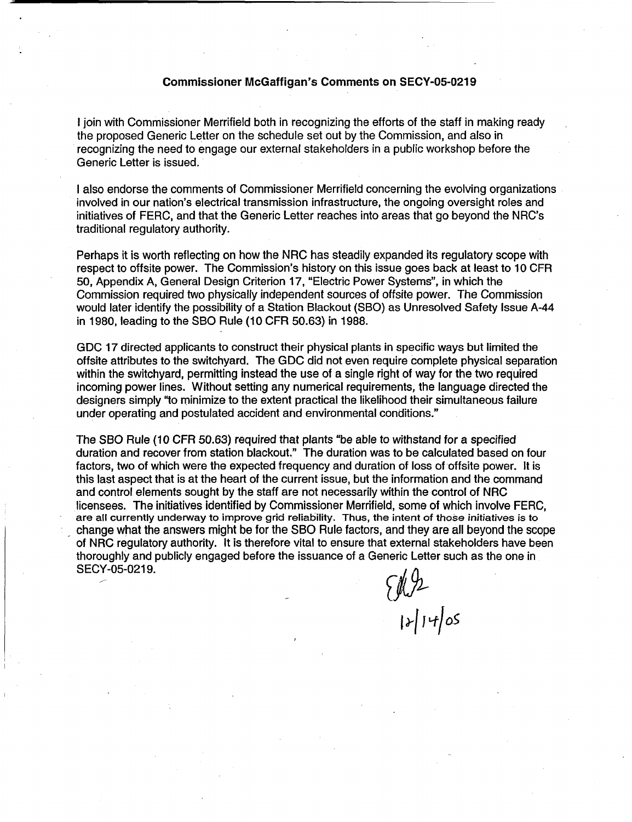#### **Commissioner McGaffigan's Comments on SECY-05-0219**

I join with Commissioner Merrifield both in recognizing the efforts of the staff in making ready the proposed Generic Letter on the schedule set out by the Commission, and also in recognizing the need to engage our external stakeholders in a public workshop before the Generic Letter is issued.

I also endorse the comments of Commissioner Merrifield concerning the evolving organizations involved in our nation's electrical transmission infrastructure, the ongoing oversight roles and initiatives of FERC, and that the Generic Letter reaches into areas that go beyond the NRC's traditional regulatory authority.

Perhaps it is worth reflecting on how the NRC has steadily expanded its regulatory scope with respect to offsite power. The Commission's history on this issue goes back at least to 10 CFR 50, Appendix A, General Design Criterion 17, "Electric Power Systems", in which the Commission required two physically independent sources of offsite power. The Commission would later identify the possibility of a Station Blackout (SBO) as Unresolved Safety Issue A-44 in 1980, leading to the SBO Rule (10 CFR 50.63) in 1988.

GDC 17 directed applicants to construct their physical plants in specific ways but limited the offsite attributes to the switchyard. The GDC did not even require complete physical separation within the switchyard, permitting instead the use of a single right of way for the two required incoming power lines. Without setting any numerical requirements, the language directed the designers simply "to minimize to the extent practical the likelihood their simultaneous failure under operating and postulated accident and environmental conditions."

The SBO Rule (10 CFR 50.63) required that plants "be able to withstand for a specified duration and recover from station blackout." The duration was to be calculated based on four factors, two of which were the expected frequency and duration of loss of offsite power. It is this last aspect that is at the heart of the current issue, but the information and the command and control elements sought by the staff are not necessarily within the control of NRC licensees. The initiatives identified by Commissioner Merrifield, some of which involve FERC, are all currently underway to improve grid reliability. Thus, the intent of those initiatives is to change what the answers might be for the SBO Rule factors, and they are all beyond the scope of NRC regulatory authority. It is therefore vital to ensure that external stakeholders have been thoroughly and publicly engaged before the issuance of a Generic Letter such as the one in SECY-05-0219.

 $\begin{equation*} \begin{array}{c} \mathcal{U} & \mathcal{V} \\ \mathcal{V} & \mathcal{V} \end{array} \end{equation*}$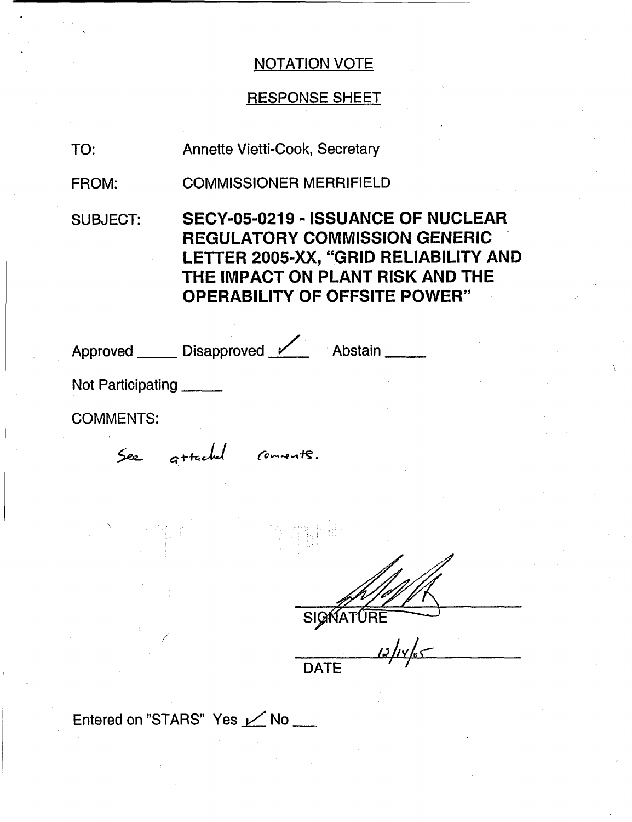# RESPONSE SHEET

TO: Annette Vietti-Cook, Secretary

FROM: COMMISSIONER MERRIFIELD

SUBJECT: SECY-05-0219 - ISSUANCE OF NUCLEAR REGULATORY COMMISSION GENERIC LETTER 2005-XX, "GRID RELIABILITY AND THE IMPACT ON PLANT RISK AND THE OPERABILITY OF OFFSITE POWER"

Approved \_\_\_\_\_\_ Disapproved <u>V</u>\_\_\_\_ Abstain

Not Participating

COMMENTS:

See attached connects.

**SIGNAT**  $\frac{1}{2}$ 

**DATE** 

Entered on "STARS" Yes  $\nu$  No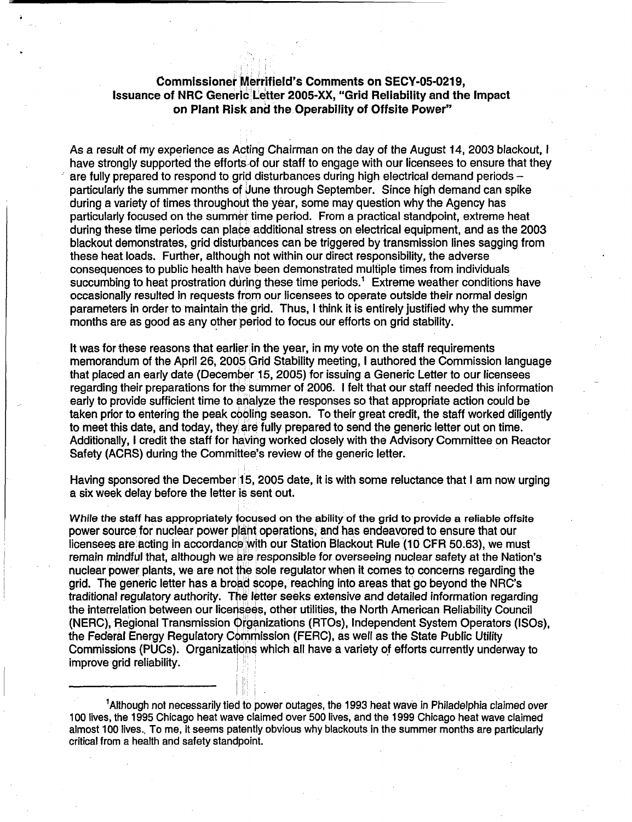#### **Commissioner Merrifield's Comments on SECY-05-0219, Issuance of NRC Generic Letter 2005-XX, "Grid Reliability and the Impact on Plant Risk and the Operability of Offsite Power"**

As a result of my experience as Acting Chairman on the day of the August 14, 2003 blackout, I have strongly supported the efforts-of our staff to engage with our licensees to ensure that they are fully prepared to respond to grid disturbances during high electrical demand periods particularly the summer months of June through September. Since high demand can spike during a variety of times throughout the year, some may question why the Agency has particularly focused on the summer time period. From a practical standpoint, extreme heat during these time periods can place additional stress on electrical equipment, and as the 2003 blackout demonstrates, grid disturbances can be triggered by transmission lines sagging from these heat loads. Further, although not within our direct responsibility, the adverse consequences to public health have been demonstrated multiple times from individuals succumbing to heat prostration during these time periods.<sup>1</sup> Extreme weather conditions have occasionally resulted in requests from our licensees to operate outside their normal design parameters in order to maintain the grid. Thus, I think it is entirely justified why the summer months are as good as any other period to focus our efforts on grid stability.

It was for these reasons that earlier in the year, in my vote on the staff requirements memorandum of the April 26, 2005 Grid Stability meeting, I authored the Commission language that placed an early date (December 15, 2005) for issuing a Generic Letter to our licensees regarding their preparations for the summer of 2006. I felt that our staff needed this information early to provide sufficient time to analyze the responses so that appropriate action could be taken prior to entering the peak cooling season. To their great credit, the staff worked diligently to meet this date, and today, they are fully prepared to send the generic letter out on time. Additionally, I credit the staff for having worked closely with the Advisory Committee on Reactor Safety (ACRS) during the Committee's review of the generic letter.

Having sponsored the December 15, 2005 date, it is with some reluctance that I am now urging a six week delay before the letter is sent out.

While the staff has appropriately **focused** on the ability of the grid to provide a reliable offsite power source for nuclear power plant operations, and has endeavored to ensure that our licensees are acting in accordance with our Station Blackout Rule (10 CFR 50.63), we must remain mindful that, although we are responsible for overseeing nuclear safety at the Nation's nuclear power plants, we are not 1he sole regulator when it comes to concerns regarding the grid. The generic letter has a broad scope, reaching into areas that go beyond the NRC's traditional regulatory authority. The letter seeks extensive and detailed information regarding the interrelation between our licensees, other utilities, the North American Reliability Council (NERC), Regional Transmission Organizations (RTOs), Independent System Operators (ISOs), the Federal Energy Regulatory Commission (FERC), as well as the State Public Utility Commissions (PUCs). Organizations which all have a variety of efforts currently underway to improve grid reliability.

'Although not necessarily tied to power outages, the 1993 heat wave in Philadelphia claimed over 100 lives, the 1995 Chicago heat wave claimed over 500 lives, and the 1999 Chicago heat wave claimed almost 100 lives., To me, it seems patently obvious why blackouts in the summer months are particularly critical from a health and safety standpoint.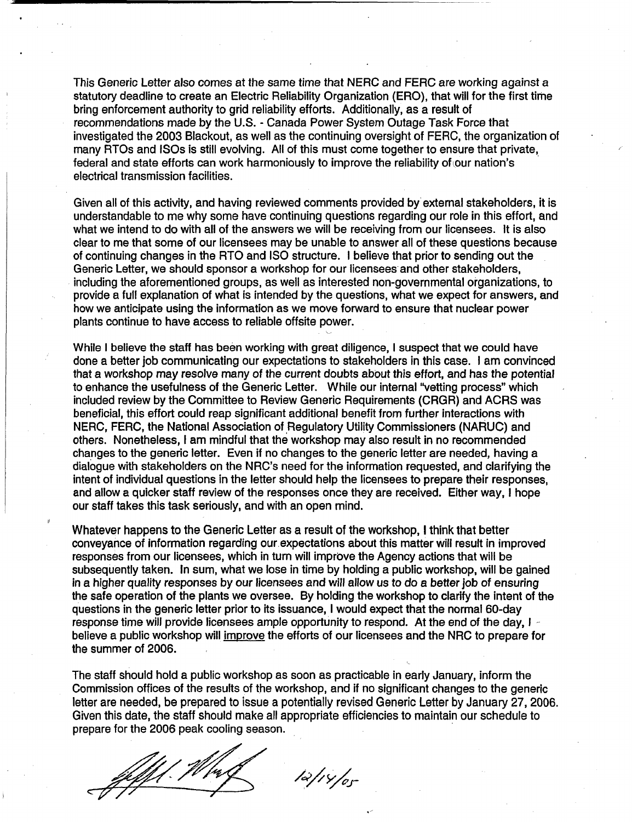This Generic Letter also comes at the same time that NERC and FERC are working against a statutory deadline to create an Electric Reliability Organization (ERO), that will for the first time bring enforcement authority to grid reliability efforts. Additionally, as a result of recommendations made by the U.S. - Canada Power System Outage Task Force that investigated the 2003 Blackout, as well as the continuing oversight of FERC, the organization of many RTOs and ISOs is still evolving. All of this must come together to ensure that private, federal and state efforts can work harmoniously to improve the reliability of our nation's electrical transmission facilities.

Given all of this activity, and having reviewed comments provided by external stakeholders, it is understandable to me why some have continuing questions regarding our role in this effort, and what we intend to do with all of the answers we will be receiving from our licensees. It is also clear to me that some of our licensees may be unable to answer all of these questions because of continuing changes in the RTO and ISO structure. I believe that prior to sending out the Generic Letter, we should sponsor a workshop for our licensees and other stakeholders, including the aforementioned groups, as well as interested non-governmental organizations, to provide a full explanation of what is intended by the questions, what we expect for answers, and how we anticipate using the information as we move forward to ensure that nuclear power plants continue to have access to reliable offsite power.

While I believe the staff has been working with great diligence, I suspect that we could have done a better job communicating our expectations to stakeholders in this case. I am convinced that a workshop may resolve many of the current doubts about this effort, and has the potential to enhance the usefulness of the Generic Letter. While our internal "vetting process" which included review by the Committee to Review Generic Requirements (CRGR) and ACRS was beneficial, this effort could reap significant additional benefit from further interactions with NERC, FERC, the National Association of Regulatory Utility Commissioners (NARUC) and others. Nonetheless, I am mindful that the workshop may also result in no recommended changes to the generic letter. Even if no changes to the generic letter are needed, having a dialogue with stakeholders on the NRC's need for the information requested, and clarifying the intent of individual questions in the letter should help the licensees to prepare their responses, and allow a quicker staff review of the responses once they are received. Either way, I hope our staff takes this task seriously, and with an open mind.

Whatever happens to the Generic Letter as a result of the workshop, I think that better conveyance of information regarding our expectations about this matter will result in improved responses from our licensees, which in turn will improve the Agency actions that will be subsequently taken. In sum, what we lose in time by holding a public workshop, will be gained in a higher quality responses by our licensees and will allow us to do a better job of ensuring the safe operation of the plants we oversee. By holding the workshop to clarify the intent of the questions in the generic letter prior to its issuance, I would expect that the normal 60-day response time will provide licensees ample opportunity to respond. At the end of the day, I believe a public workshop will improve the efforts of our licensees and the NRC to prepare for the summer of 2006.

The staff should hold a public workshop as soon as practicable in early January, inform the Commission offices of the results of the workshop, and if no significant changes to the generic letter are needed, be prepared to issue a potentially revised Generic Letter by January 27, 2006. Given this date, the staff should make all appropriate efficiencies to maintain our schedule to prepare for the 2006 peak cooling season.

 $12/14/0$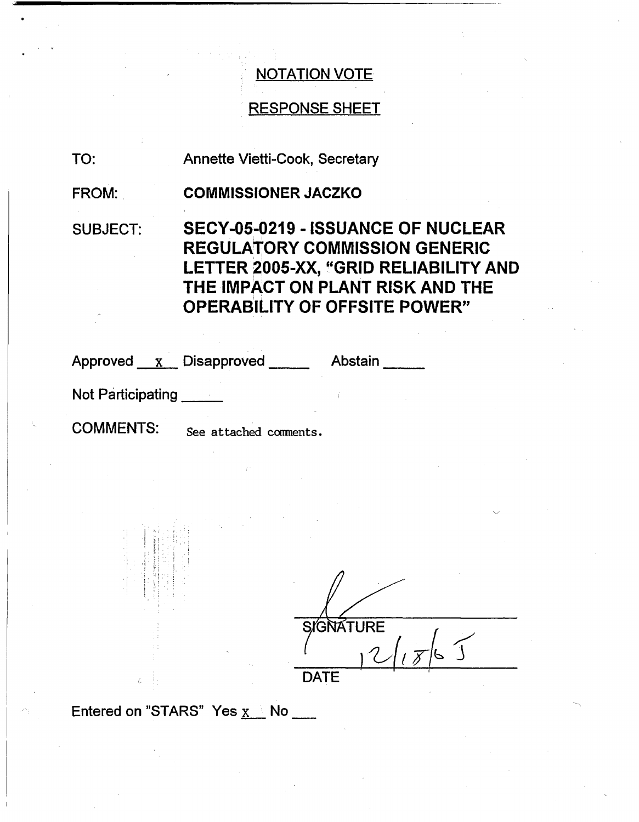# RESPONSE SHEET

TO: Annette Vietti-Cook, Secretary

FROM: **COMMISSIONER JACZKO**

SUBJECT: SECY-05-0219 - ISSUANCE OF NUCLEAR REGULATORY COMMISSION GENERIC LETTER 2005-XX, "GRID RELIABILITY AND THE IMPACT ON PLANT RISK AND THE OPERABILITY OF OFFSITE POWER"

Approved x Disapproved Abstair

Not Participating

COMMENTS: See attached comnents.

GNATURE DATE

Entered on "STARS" Yes  $x \geq No$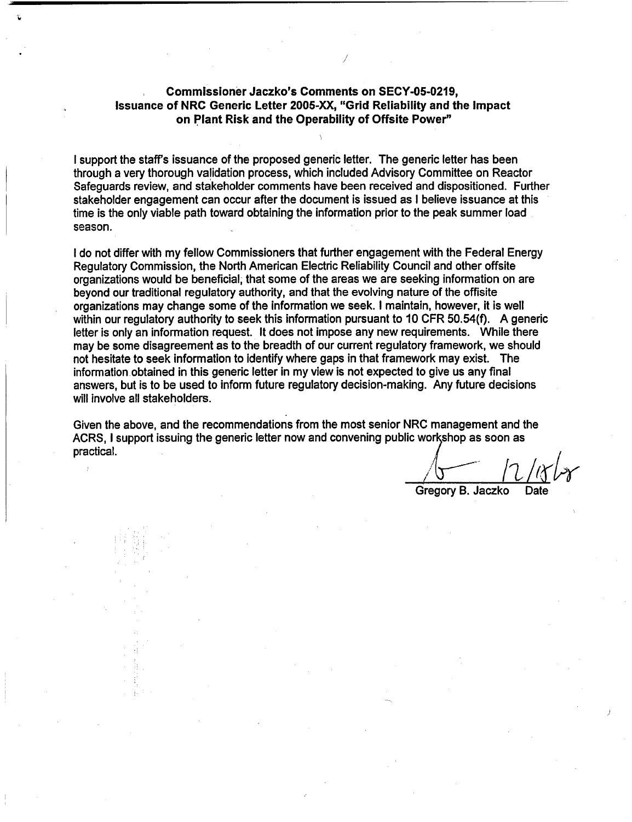#### **Commissioner Jaczko's Comments on SECY-05-0219, Issuance of NRC Generic Letter** 2005-XX, **"Grid Reliability and the Impact on Plant Risk and the Operability of Offsite Power"**

I support the staff's issuance of the proposed generic letter. The generic letter has been through a very thorough validation process, which included Advisory Committee on Reactor Safeguards review, and stakeholder comments have been received and dispositioned. Further stakeholder engagement can occur after the document is issued as I believe issuance at this time is the only viable path toward obtaining the information prior to the peak summer load season.

I do not differ with my fellow Commissioners that further engagement with the Federal Energy Regulatory Commission, the North American Electric Reliability Council and other offsite organizations would be beneficial, that some of the areas we are seeking information on are beyond our traditional regulatory authority, and that the evolving nature of the offisite organizations may change some of the information we seek. I maintain, however, it is well within our regulatory authority to seek this information pursuant to 10 CFR 50.54(f). A generic letter is only an information request. It does not impose any new requirements. While there may be some disagreement as to the breadth of our current regulatory framework, we should not hesitate to seek information to identify where gaps in that framework may exist. The information obtained in this generic letter in my view is not expected to give us any final answers, but is to be used to inform future regulatory decision-making. Any future decisions will involve all stakeholders.

Given the above, and the recommendations from the most senior NRC management and the ACRS, I support issuing the generic letter now and convening public workshop as soon as practical.

Gregory B. Jaczko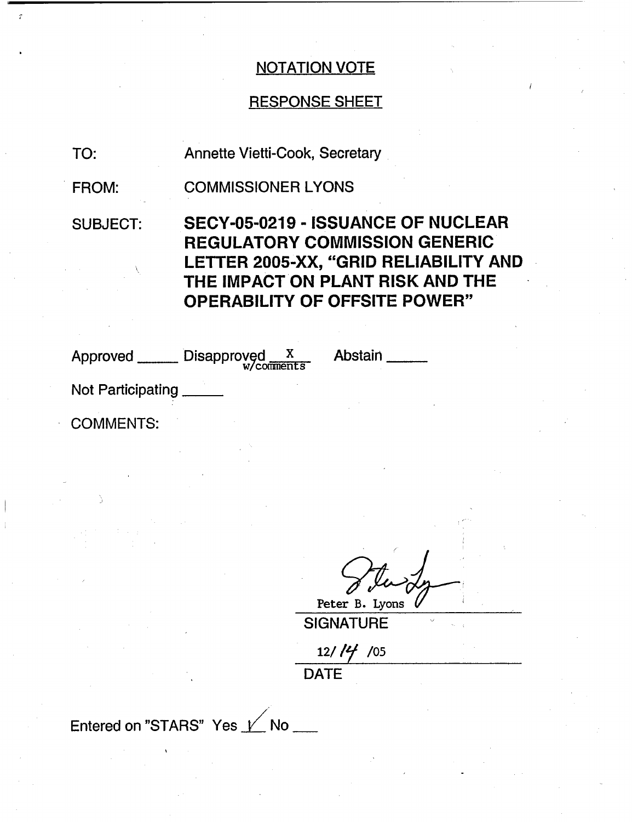# RESPONSE SHEET

TO: Annette Vietti-Cook, Secretary

FROM: COMMISSIONER LYONS

SUBJECT: SECY-05-0219 - ISSUANCE OF NUCLEAR REGULATORY COMMISSION GENERIC LETTER 2005-XX, "GRID RELIABILITY AND THE IMPACT ON PLANT RISK AND THE OPERABILITY OF OFFSITE POWER"

| Disapproved X<br>W <sub>comments</sub><br>Approved ______ | <b>Abstain</b> |
|-----------------------------------------------------------|----------------|
| Not Participating                                         |                |
| <b>COMMENTS:</b>                                          |                |
|                                                           |                |

Peter B. Lyons

**SIGNATURE** 

12/ **/** /05

**DATE**

Entered on "STARS" Yes  $1/$  No  $-$